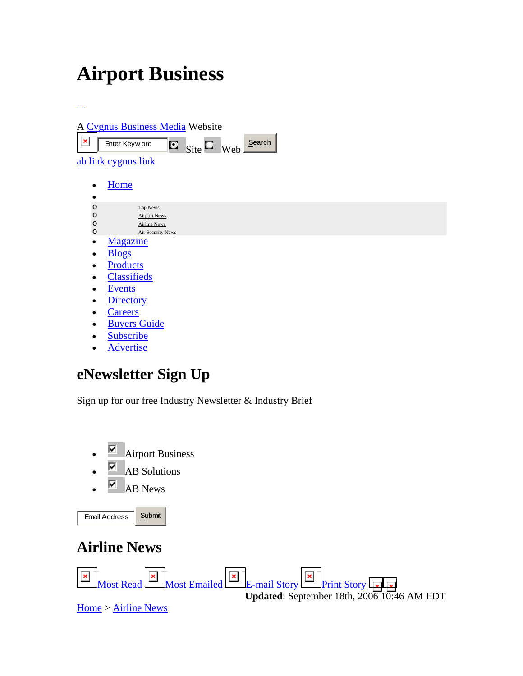## **Airport Business**



• Advertise

## **eNewsletter Sign Up**

Sign up for our free Industry Newsletter & Industry Brief



**Updated**: September 18th, 2006 10:46 AM EDT

Print Story

Print This Story

E-mail Story

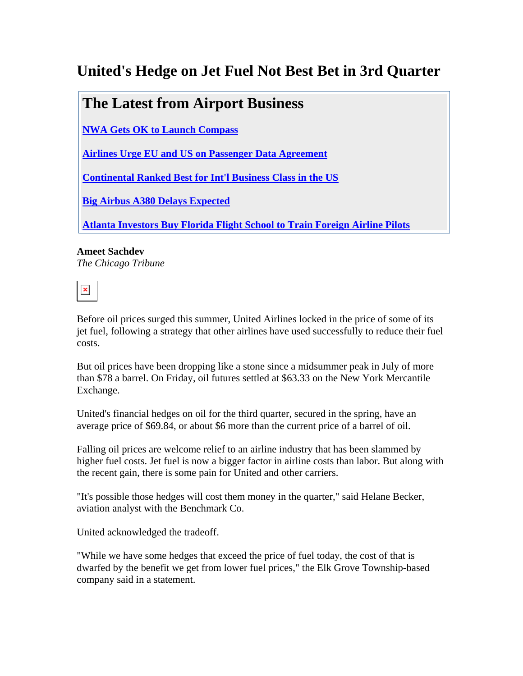## **United's Hedge on Jet Fuel Not Best Bet in 3rd Quarter**

## **The Latest from Airport Business**

**NWA Gets OK to Launch Compass**

**Airlines Urge EU and US on Passenger Data Agreement**

**Continental Ranked Best for Int'l Business Class in the US**

**Big Airbus A380 Delays Expected**

**Atlanta Investors Buy Florida Flight School to Train Foreign Airline Pilots**

**Ameet Sachdev** *The Chicago Tribune*

 $\pmb{\times}$ 

Before oil prices surged this summer, United Airlines locked in the price of some of its jet fuel, following a strategy that other airlines have used successfully to reduce their fuel costs.

But oil prices have been dropping like a stone since a midsummer peak in July of more than \$78 a barrel. On Friday, oil futures settled at \$63.33 on the New York Mercantile Exchange.

United's financial hedges on oil for the third quarter, secured in the spring, have an average price of \$69.84, or about \$6 more than the current price of a barrel of oil.

Falling oil prices are welcome relief to an airline industry that has been slammed by higher fuel costs. Jet fuel is now a bigger factor in airline costs than labor. But along with the recent gain, there is some pain for United and other carriers.

"It's possible those hedges will cost them money in the quarter," said Helane Becker, aviation analyst with the Benchmark Co.

United acknowledged the tradeoff.

"While we have some hedges that exceed the price of fuel today, the cost of that is dwarfed by the benefit we get from lower fuel prices," the Elk Grove Township-based company said in a statement.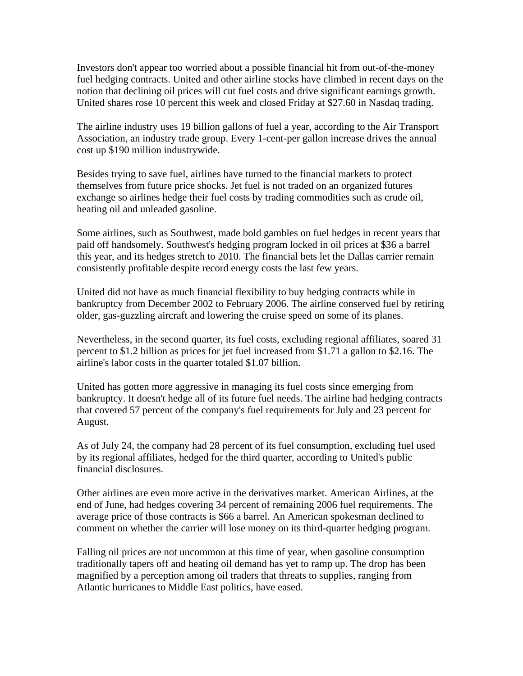Investors don't appear too worried about a possible financial hit from out-of-the-money fuel hedging contracts. United and other airline stocks have climbed in recent days on the notion that declining oil prices will cut fuel costs and drive significant earnings growth. United shares rose 10 percent this week and closed Friday at \$27.60 in Nasdaq trading.

The airline industry uses 19 billion gallons of fuel a year, according to the Air Transport Association, an industry trade group. Every 1-cent-per gallon increase drives the annual cost up \$190 million industrywide.

Besides trying to save fuel, airlines have turned to the financial markets to protect themselves from future price shocks. Jet fuel is not traded on an organized futures exchange so airlines hedge their fuel costs by trading commodities such as crude oil, heating oil and unleaded gasoline.

Some airlines, such as Southwest, made bold gambles on fuel hedges in recent years that paid off handsomely. Southwest's hedging program locked in oil prices at \$36 a barrel this year, and its hedges stretch to 2010. The financial bets let the Dallas carrier remain consistently profitable despite record energy costs the last few years.

United did not have as much financial flexibility to buy hedging contracts while in bankruptcy from December 2002 to February 2006. The airline conserved fuel by retiring older, gas-guzzling aircraft and lowering the cruise speed on some of its planes.

Nevertheless, in the second quarter, its fuel costs, excluding regional affiliates, soared 31 percent to \$1.2 billion as prices for jet fuel increased from \$1.71 a gallon to \$2.16. The airline's labor costs in the quarter totaled \$1.07 billion.

United has gotten more aggressive in managing its fuel costs since emerging from bankruptcy. It doesn't hedge all of its future fuel needs. The airline had hedging contracts that covered 57 percent of the company's fuel requirements for July and 23 percent for August.

As of July 24, the company had 28 percent of its fuel consumption, excluding fuel used by its regional affiliates, hedged for the third quarter, according to United's public financial disclosures.

Other airlines are even more active in the derivatives market. American Airlines, at the end of June, had hedges covering 34 percent of remaining 2006 fuel requirements. The average price of those contracts is \$66 a barrel. An American spokesman declined to comment on whether the carrier will lose money on its third-quarter hedging program.

Falling oil prices are not uncommon at this time of year, when gasoline consumption traditionally tapers off and heating oil demand has yet to ramp up. The drop has been magnified by a perception among oil traders that threats to supplies, ranging from Atlantic hurricanes to Middle East politics, have eased.